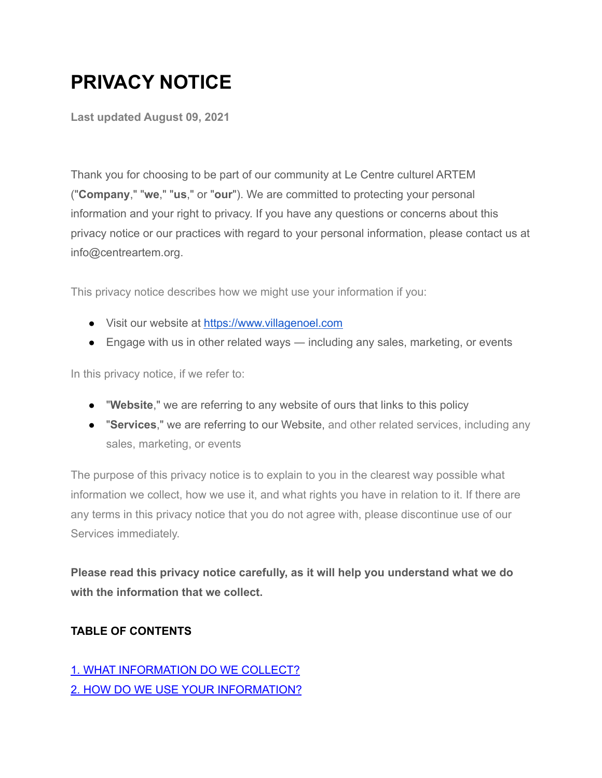# **PRIVACY NOTICE**

**Last updated August 09, 2021**

Thank you for choosing to be part of our community at Le Centre culturel ARTEM ("**Company**," "**we**," "**us**," or "**our**"). We are committed to protecting your personal information and your right to privacy. If you have any questions or concerns about this privacy notice or our practices with regard to your personal information, please contact us at info@centreartem.org.

This privacy notice describes how we might use your information if you:

- Visit our website at <https://www.villagenoel.com>
- Engage with us in other related ways including any sales, marketing, or events

In this privacy notice, if we refer to:

- "**Website**," we are referring to any website of ours that links to this policy
- "**Services**," we are referring to our Website, and other related services, including any sales, marketing, or events

The purpose of this privacy notice is to explain to you in the clearest way possible what information we collect, how we use it, and what rights you have in relation to it. If there are any terms in this privacy notice that you do not agree with, please discontinue use of our Services immediately.

**Please read this privacy notice carefully, as it will help you understand what we do with the information that we collect.**

#### **TABLE OF CONTENTS**

## 1. WHAT [INFORMATION](https://www-villagenoel-com.filesusr.com/html/525fba_dd2ae78b67b9571d2245a8a4c2ffbc75.html#infocollect) DO WE COLLECT? 2. HOW DO WE USE YOUR [INFORMATION?](https://www-villagenoel-com.filesusr.com/html/525fba_dd2ae78b67b9571d2245a8a4c2ffbc75.html#infouse)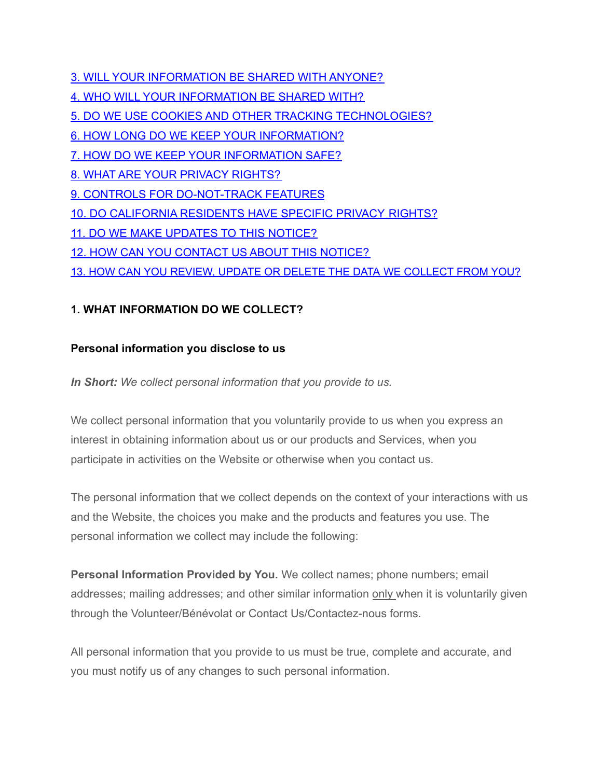3. WILL YOUR [INFORMATION](https://www-villagenoel-com.filesusr.com/html/525fba_dd2ae78b67b9571d2245a8a4c2ffbc75.html#infoshare) BE SHARED WITH ANYONE? 4. WHO WILL YOUR [INFORMATION](https://www-villagenoel-com.filesusr.com/html/525fba_dd2ae78b67b9571d2245a8a4c2ffbc75.html#whoshare) BE SHARED WITH? 5. DO WE USE COOKIES AND OTHER TRACKING [TECHNOLOGIES?](https://www-villagenoel-com.filesusr.com/html/525fba_dd2ae78b67b9571d2245a8a4c2ffbc75.html#cookies) 6. HOW LONG DO WE KEEP YOUR [INFORMATION?](https://www-villagenoel-com.filesusr.com/html/525fba_dd2ae78b67b9571d2245a8a4c2ffbc75.html#inforetain) 7. HOW DO WE KEEP YOUR [INFORMATION](https://www-villagenoel-com.filesusr.com/html/525fba_dd2ae78b67b9571d2245a8a4c2ffbc75.html#infosafe) SAFE? 8. WHAT ARE YOUR PRIVACY [RIGHTS?](https://www-villagenoel-com.filesusr.com/html/525fba_dd2ae78b67b9571d2245a8a4c2ffbc75.html#privacyrights) 9. CONTROLS FOR [DO-NOT-TRACK](https://www-villagenoel-com.filesusr.com/html/525fba_dd2ae78b67b9571d2245a8a4c2ffbc75.html#DNT) FEATURES 10. DO [CALIFORNIA](https://www-villagenoel-com.filesusr.com/html/525fba_dd2ae78b67b9571d2245a8a4c2ffbc75.html#caresidents) RESIDENTS HAVE SPECIFIC PRIVACY RIGHTS? 11. DO WE MAKE [UPDATES](https://www-villagenoel-com.filesusr.com/html/525fba_dd2ae78b67b9571d2245a8a4c2ffbc75.html#policyupdates) TO THIS NOTICE? 12. HOW CAN YOU [CONTACT](https://www-villagenoel-com.filesusr.com/html/525fba_dd2ae78b67b9571d2245a8a4c2ffbc75.html#contact) US ABOUT THIS NOTICE? 13. HOW CAN YOU REVIEW, UPDATE OR DELETE THE DATA WE [COLLECT](https://www-villagenoel-com.filesusr.com/html/525fba_dd2ae78b67b9571d2245a8a4c2ffbc75.html#request) FROM YOU?

## **1. WHAT INFORMATION DO WE COLLECT?**

## **Personal information you disclose to us**

*In Short: We collect personal information that you provide to us.*

We collect personal information that you voluntarily provide to us when you express an interest in obtaining information about us or our products and Services, when you participate in activities on the Website or otherwise when you contact us.

The personal information that we collect depends on the context of your interactions with us and the Website, the choices you make and the products and features you use. The personal information we collect may include the following:

**Personal Information Provided by You.** We collect names; phone numbers; email addresses; mailing addresses; and other similar information only when it is voluntarily given through the Volunteer/Bénévolat or Contact Us/Contactez-nous forms.

All personal information that you provide to us must be true, complete and accurate, and you must notify us of any changes to such personal information.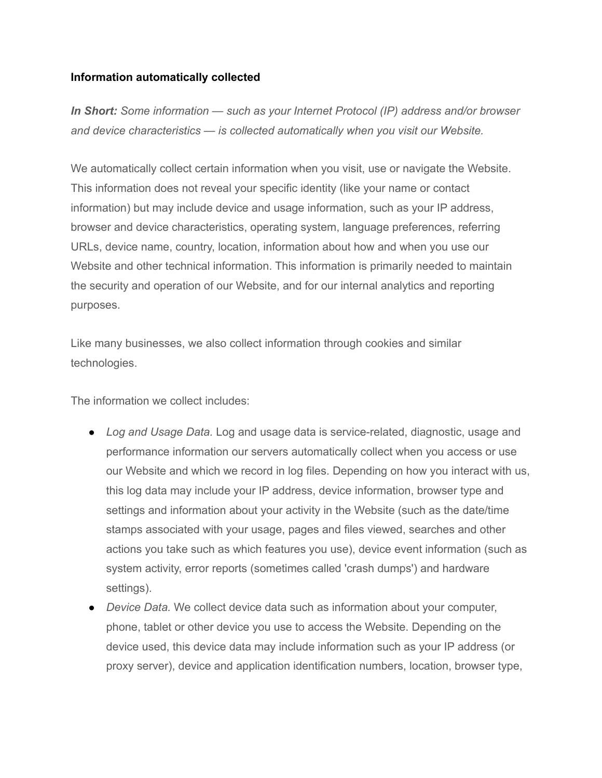#### **Information automatically collected**

*In Short: Some information — such as your Internet Protocol (IP) address and/or browser and device characteristics — is collected automatically when you visit our Website.*

We automatically collect certain information when you visit, use or navigate the Website. This information does not reveal your specific identity (like your name or contact information) but may include device and usage information, such as your IP address, browser and device characteristics, operating system, language preferences, referring URLs, device name, country, location, information about how and when you use our Website and other technical information. This information is primarily needed to maintain the security and operation of our Website, and for our internal analytics and reporting purposes.

Like many businesses, we also collect information through cookies and similar technologies.

The information we collect includes:

- *Log and Usage Data.* Log and usage data is service-related, diagnostic, usage and performance information our servers automatically collect when you access or use our Website and which we record in log files. Depending on how you interact with us, this log data may include your IP address, device information, browser type and settings and information about your activity in the Website (such as the date/time stamps associated with your usage, pages and files viewed, searches and other actions you take such as which features you use), device event information (such as system activity, error reports (sometimes called 'crash dumps') and hardware settings).
- *Device Data.* We collect device data such as information about your computer, phone, tablet or other device you use to access the Website. Depending on the device used, this device data may include information such as your IP address (or proxy server), device and application identification numbers, location, browser type,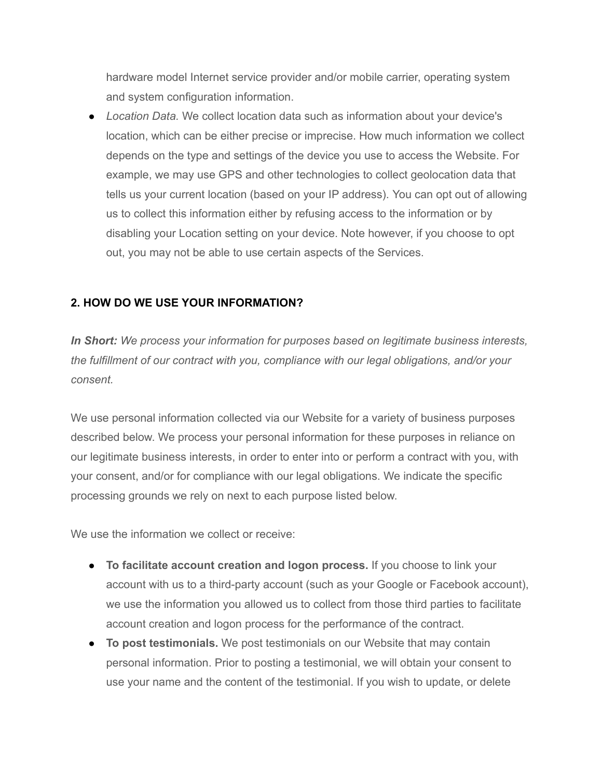hardware model Internet service provider and/or mobile carrier, operating system and system configuration information.

● *Location Data.* We collect location data such as information about your device's location, which can be either precise or imprecise. How much information we collect depends on the type and settings of the device you use to access the Website. For example, we may use GPS and other technologies to collect geolocation data that tells us your current location (based on your IP address). You can opt out of allowing us to collect this information either by refusing access to the information or by disabling your Location setting on your device. Note however, if you choose to opt out, you may not be able to use certain aspects of the Services.

## **2. HOW DO WE USE YOUR INFORMATION?**

*In Short: We process your information for purposes based on legitimate business interests, the fulfillment of our contract with you, compliance with our legal obligations, and/or your consent.*

We use personal information collected via our Website for a variety of business purposes described below. We process your personal information for these purposes in reliance on our legitimate business interests, in order to enter into or perform a contract with you, with your consent, and/or for compliance with our legal obligations. We indicate the specific processing grounds we rely on next to each purpose listed below.

We use the information we collect or receive:

- **To facilitate account creation and logon process.** If you choose to link your account with us to a third-party account (such as your Google or Facebook account), we use the information you allowed us to collect from those third parties to facilitate account creation and logon process for the performance of the contract.
- **To post testimonials.** We post testimonials on our Website that may contain personal information. Prior to posting a testimonial, we will obtain your consent to use your name and the content of the testimonial. If you wish to update, or delete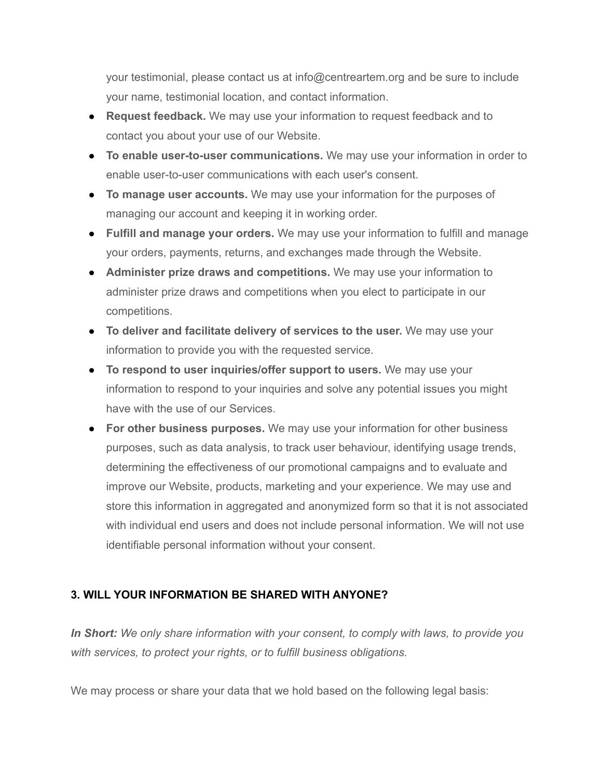your testimonial, please contact us at info@centreartem.org and be sure to include your name, testimonial location, and contact information.

- **Request feedback.** We may use your information to request feedback and to contact you about your use of our Website.
- **To enable user-to-user communications.** We may use your information in order to enable user-to-user communications with each user's consent.
- **To manage user accounts.** We may use your information for the purposes of managing our account and keeping it in working order.
- **Fulfill and manage your orders.** We may use your information to fulfill and manage your orders, payments, returns, and exchanges made through the Website.
- **Administer prize draws and competitions.** We may use your information to administer prize draws and competitions when you elect to participate in our competitions.
- **To deliver and facilitate delivery of services to the user.** We may use your information to provide you with the requested service.
- **To respond to user inquiries/offer support to users.** We may use your information to respond to your inquiries and solve any potential issues you might have with the use of our Services.
- **For other business purposes.** We may use your information for other business purposes, such as data analysis, to track user behaviour, identifying usage trends, determining the effectiveness of our promotional campaigns and to evaluate and improve our Website, products, marketing and your experience. We may use and store this information in aggregated and anonymized form so that it is not associated with individual end users and does not include personal information. We will not use identifiable personal information without your consent.

## **3. WILL YOUR INFORMATION BE SHARED WITH ANYONE?**

*In Short: We only share information with your consent, to comply with laws, to provide you with services, to protect your rights, or to fulfill business obligations.*

We may process or share your data that we hold based on the following legal basis: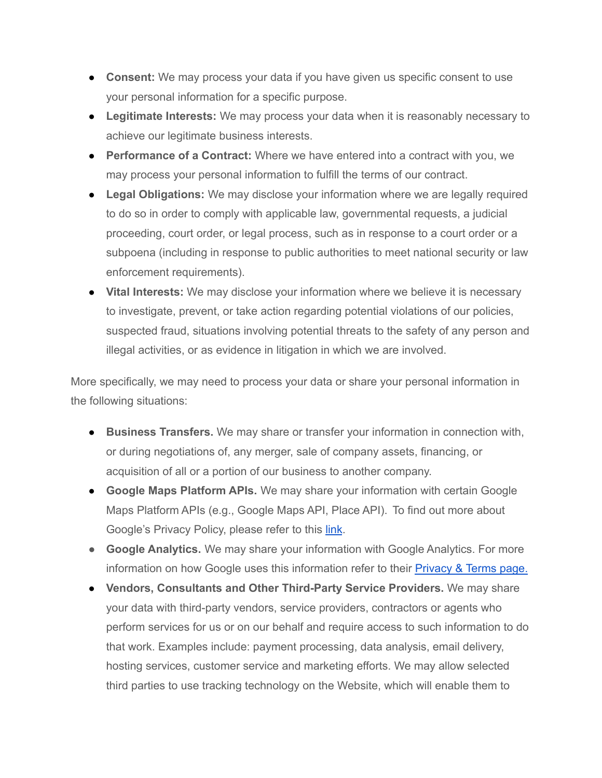- **Consent:** We may process your data if you have given us specific consent to use your personal information for a specific purpose.
- **Legitimate Interests:** We may process your data when it is reasonably necessary to achieve our legitimate business interests.
- **Performance of a Contract:** Where we have entered into a contract with you, we may process your personal information to fulfill the terms of our contract.
- **Legal Obligations:** We may disclose your information where we are legally required to do so in order to comply with applicable law, governmental requests, a judicial proceeding, court order, or legal process, such as in response to a court order or a subpoena (including in response to public authorities to meet national security or law enforcement requirements).
- **Vital Interests:** We may disclose your information where we believe it is necessary to investigate, prevent, or take action regarding potential violations of our policies, suspected fraud, situations involving potential threats to the safety of any person and illegal activities, or as evidence in litigation in which we are involved.

More specifically, we may need to process your data or share your personal information in the following situations:

- **Business Transfers.** We may share or transfer your information in connection with, or during negotiations of, any merger, sale of company assets, financing, or acquisition of all or a portion of our business to another company.
- **Google Maps Platform APIs.** We may share your information with certain Google Maps Platform APIs (e.g., Google Maps API, Place API). To find out more about Google's Privacy Policy, please refer to this [link](https://policies.google.com/privacy).
- **● Google Analytics.** We may share your information with Google Analytics. For more information on how Google uses this information refer to their **[Privacy](https://policies.google.com/technologies/partner-sites) & Terms page.**
- **Vendors, Consultants and Other Third-Party Service Providers.** We may share your data with third-party vendors, service providers, contractors or agents who perform services for us or on our behalf and require access to such information to do that work. Examples include: payment processing, data analysis, email delivery, hosting services, customer service and marketing efforts. We may allow selected third parties to use tracking technology on the Website, which will enable them to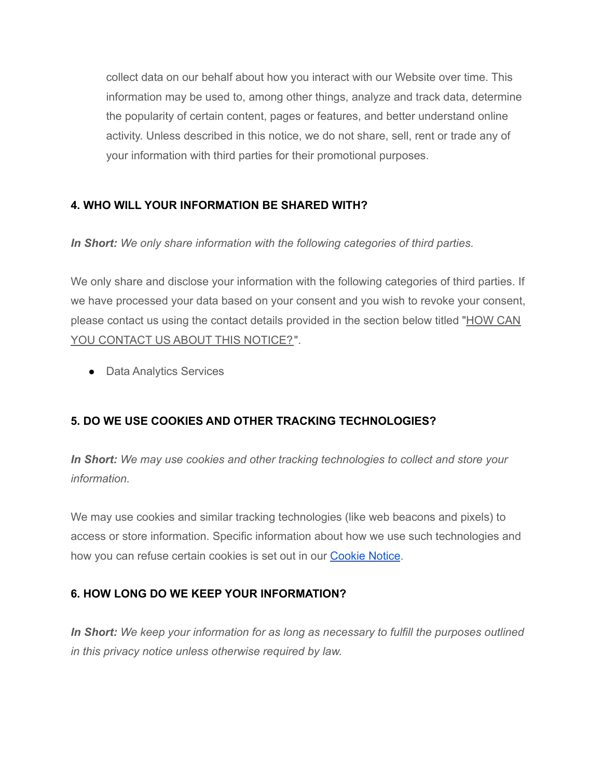collect data on our behalf about how you interact with our Website over time. This information may be used to, among other things, analyze and track data, determine the popularity of certain content, pages or features, and better understand online activity. Unless described in this notice, we do not share, sell, rent or trade any of your information with third parties for their promotional purposes.

## **4. WHO WILL YOUR INFORMATION BE SHARED WITH?**

*In Short: We only share information with the following categories of third parties.*

We only share and disclose your information with the following categories of third parties. If we have processed your data based on your consent and you wish to revoke your consent, please contact us using the contact details provided in the section below titled ["HOW](https://www-villagenoel-com.filesusr.com/html/525fba_dd2ae78b67b9571d2245a8a4c2ffbc75.html#contact) CAN YOU [CONTACT](https://www-villagenoel-com.filesusr.com/html/525fba_dd2ae78b67b9571d2245a8a4c2ffbc75.html#contact) US ABOUT THIS NOTICE?".

● Data Analytics Services

## **5. DO WE USE COOKIES AND OTHER TRACKING TECHNOLOGIES?**

*In Short: We may use cookies and other tracking technologies to collect and store your information.*

We may use cookies and similar tracking technologies (like web beacons and pixels) to access or store information. Specific information about how we use such technologies and how you can refuse certain cookies is set out in our **[Cookie](https://525fba42-8cf6-4117-96f6-386896cb1a74.usrfiles.com/ugd/525fba_7f3df4c06f27436b96648afaf2df9d0e.pdf) Notice**.

## **6. HOW LONG DO WE KEEP YOUR INFORMATION?**

*In Short: We keep your information for as long as necessary to fulfill the purposes outlined in this privacy notice unless otherwise required by law.*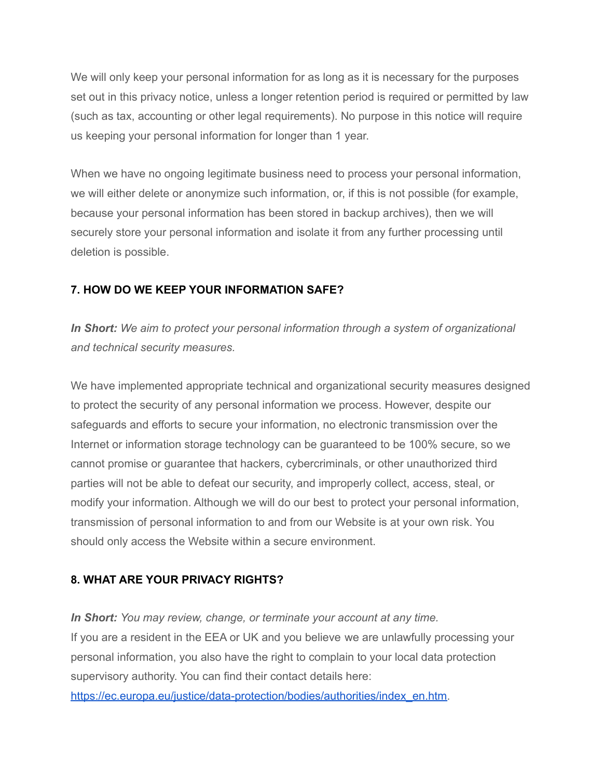We will only keep your personal information for as long as it is necessary for the purposes set out in this privacy notice, unless a longer retention period is required or permitted by law (such as tax, accounting or other legal requirements). No purpose in this notice will require us keeping your personal information for longer than 1 year.

When we have no ongoing legitimate business need to process your personal information, we will either delete or anonymize such information, or, if this is not possible (for example, because your personal information has been stored in backup archives), then we will securely store your personal information and isolate it from any further processing until deletion is possible.

## **7. HOW DO WE KEEP YOUR INFORMATION SAFE?**

*In Short: We aim to protect your personal information through a system of organizational and technical security measures.*

We have implemented appropriate technical and organizational security measures designed to protect the security of any personal information we process. However, despite our safeguards and efforts to secure your information, no electronic transmission over the Internet or information storage technology can be guaranteed to be 100% secure, so we cannot promise or guarantee that hackers, cybercriminals, or other unauthorized third parties will not be able to defeat our security, and improperly collect, access, steal, or modify your information. Although we will do our best to protect your personal information, transmission of personal information to and from our Website is at your own risk. You should only access the Website within a secure environment.

## **8. WHAT ARE YOUR PRIVACY RIGHTS?**

*In Short: You may review, change, or terminate your account at any time.* If you are a resident in the EEA or UK and you believe we are unlawfully processing your personal information, you also have the right to complain to your local data protection supervisory authority. You can find their contact details here[:](https://ec.europa.eu/justice/data-protection/bodies/authorities/index_en.htm)

[https://ec.europa.eu/justice/data-protection/bodies/authorities/index\\_en.htm.](https://ec.europa.eu/justice/data-protection/bodies/authorities/index_en.htm)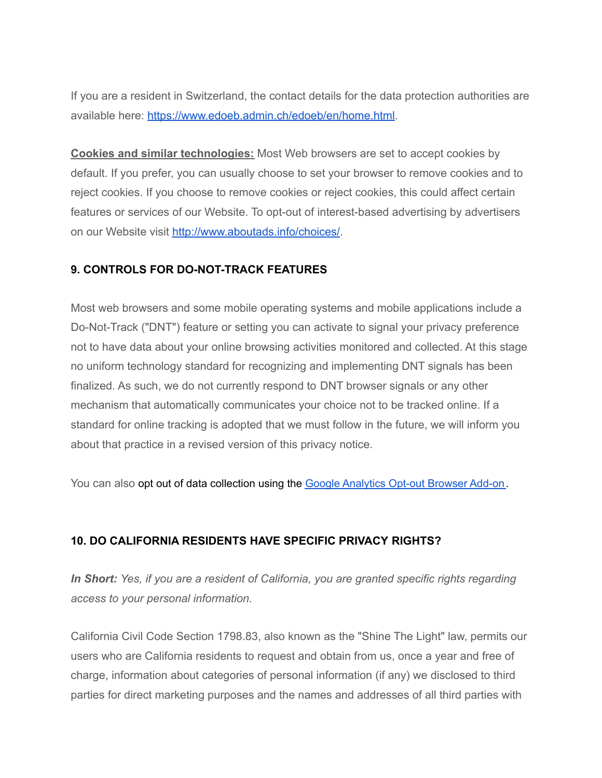If you are a resident in Switzerland, the contact details for the data protection authorities are available here: [https://www.edoeb.admin.ch/edoeb/en/home.html.](https://www.edoeb.admin.ch/edoeb/en/home.html)

**Cookies and similar technologies:** Most Web browsers are set to accept cookies by default. If you prefer, you can usually choose to set your browser to remove cookies and to reject cookies. If you choose to remove cookies or reject cookies, this could affect certain features or services of our Website. To opt-out of interest-based advertising by advertisers on our Website visit [http://www.aboutads.info/choices/.](http://www.aboutads.info/choices/)

## **9. CONTROLS FOR DO-NOT-TRACK FEATURES**

Most web browsers and some mobile operating systems and mobile applications include a Do-Not-Track ("DNT") feature or setting you can activate to signal your privacy preference not to have data about your online browsing activities monitored and collected. At this stage no uniform technology standard for recognizing and implementing DNT signals has been finalized. As such, we do not currently respond to DNT browser signals or any other mechanism that automatically communicates your choice not to be tracked online. If a standard for online tracking is adopted that we must follow in the future, we will inform you about that practice in a revised version of this privacy notice.

You can also opt out of data collection using the Google [Analytics](https://tools.google.com/dlpage/gaoptout/?hl=en-GB) Opt-out Browser Add-on.

## **10. DO CALIFORNIA RESIDENTS HAVE SPECIFIC PRIVACY RIGHTS?**

*In Short: Yes, if you are a resident of California, you are granted specific rights regarding access to your personal information.*

California Civil Code Section 1798.83, also known as the "Shine The Light" law, permits our users who are California residents to request and obtain from us, once a year and free of charge, information about categories of personal information (if any) we disclosed to third parties for direct marketing purposes and the names and addresses of all third parties with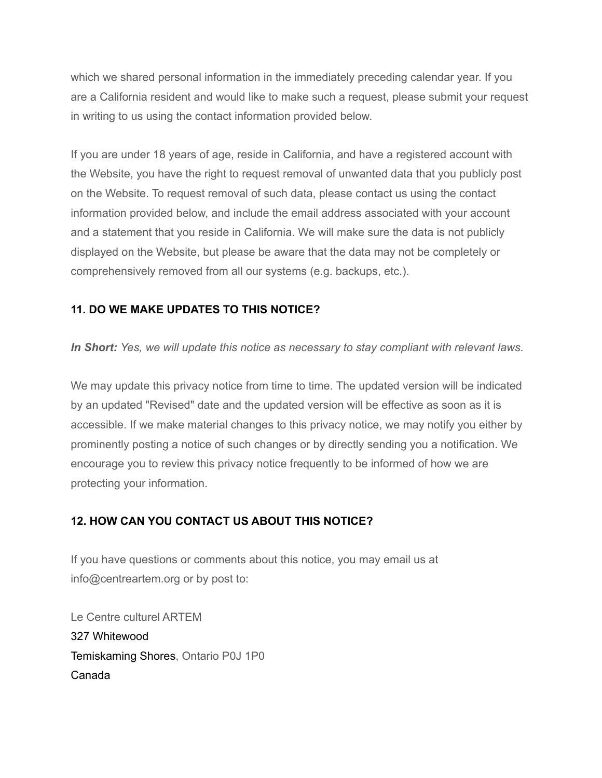which we shared personal information in the immediately preceding calendar year. If you are a California resident and would like to make such a request, please submit your request in writing to us using the contact information provided below.

If you are under 18 years of age, reside in California, and have a registered account with the Website, you have the right to request removal of unwanted data that you publicly post on the Website. To request removal of such data, please contact us using the contact information provided below, and include the email address associated with your account and a statement that you reside in California. We will make sure the data is not publicly displayed on the Website, but please be aware that the data may not be completely or comprehensively removed from all our systems (e.g. backups, etc.).

## **11. DO WE MAKE UPDATES TO THIS NOTICE?**

*In Short: Yes, we will update this notice as necessary to stay compliant with relevant laws.*

We may update this privacy notice from time to time. The updated version will be indicated by an updated "Revised" date and the updated version will be effective as soon as it is accessible. If we make material changes to this privacy notice, we may notify you either by prominently posting a notice of such changes or by directly sending you a notification. We encourage you to review this privacy notice frequently to be informed of how we are protecting your information.

## **12. HOW CAN YOU CONTACT US ABOUT THIS NOTICE?**

If you have questions or comments about this notice, you may email us at info@centreartem.org or by post to:

Le Centre culturel ARTEM 327 Whitewood Temiskaming Shores, Ontario P0J 1P0 Canada